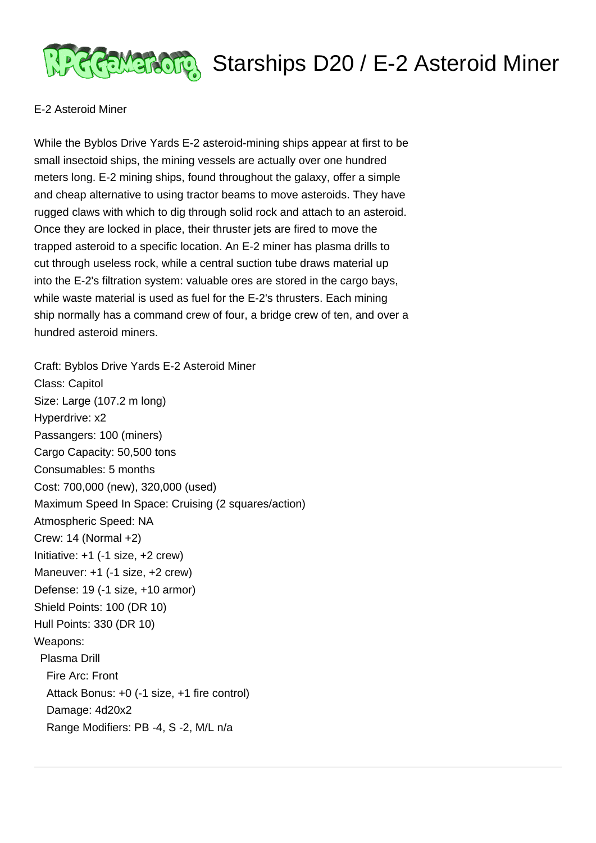

## <u> अतिहासकारी</u> Starships D20 / E-2 Asteroid Miner

## E-2 Asteroid Miner

While the Byblos Drive Yards E-2 asteroid-mining ships appear at first to be small insectoid ships, the mining vessels are actually over one hundred meters long. E-2 mining ships, found throughout the galaxy, offer a simple and cheap alternative to using tractor beams to move asteroids. They have rugged claws with which to dig through solid rock and attach to an asteroid. Once they are locked in place, their thruster jets are fired to move the trapped asteroid to a specific location. An E-2 miner has plasma drills to cut through useless rock, while a central suction tube draws material up into the E-2's filtration system: valuable ores are stored in the cargo bays, while waste material is used as fuel for the E-2's thrusters. Each mining ship normally has a command crew of four, a bridge crew of ten, and over a hundred asteroid miners.

Craft: Byblos Drive Yards E-2 Asteroid Miner Class: Capitol Size: Large (107.2 m long) Hyperdrive: x2 Passangers: 100 (miners) Cargo Capacity: 50,500 tons Consumables: 5 months Cost: 700,000 (new), 320,000 (used) Maximum Speed In Space: Cruising (2 squares/action) Atmospheric Speed: NA Crew: 14 (Normal +2) Initiative: +1 (-1 size, +2 crew) Maneuver: +1 (-1 size, +2 crew) Defense: 19 (-1 size, +10 armor) Shield Points: 100 (DR 10) Hull Points: 330 (DR 10) Weapons: Plasma Drill Fire Arc: Front Attack Bonus: +0 (-1 size, +1 fire control) Damage: 4d20x2 Range Modifiers: PB -4, S -2, M/L n/a